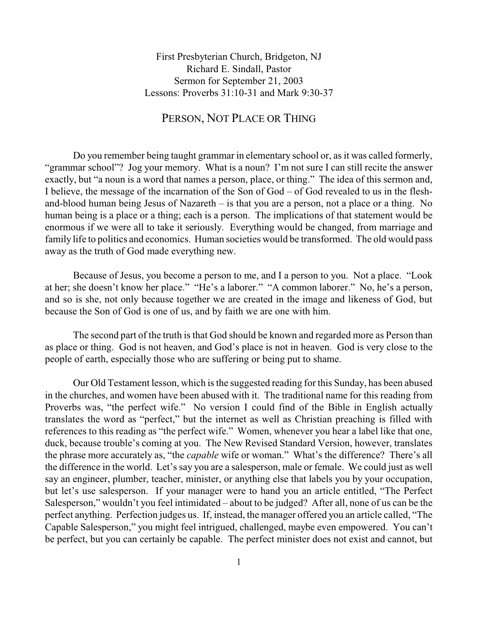First Presbyterian Church, Bridgeton, NJ Richard E. Sindall, Pastor Sermon for September 21, 2003 Lessons: Proverbs 31:10-31 and Mark 9:30-37

## PERSON, NOT PLACE OR THING

Do you remember being taught grammar in elementary school or, as it was called formerly, "grammar school"? Jog your memory. What is a noun? I'm not sure I can still recite the answer exactly, but "a noun is a word that names a person, place, or thing." The idea of this sermon and, I believe, the message of the incarnation of the Son of God – of God revealed to us in the fleshand-blood human being Jesus of Nazareth – is that you are a person, not a place or a thing. No human being is a place or a thing; each is a person. The implications of that statement would be enormous if we were all to take it seriously. Everything would be changed, from marriage and family life to politics and economics. Human societies would be transformed. The old would pass away as the truth of God made everything new.

Because of Jesus, you become a person to me, and I a person to you. Not a place. "Look at her; she doesn't know her place." "He's a laborer." "A common laborer." No, he's a person, and so is she, not only because together we are created in the image and likeness of God, but because the Son of God is one of us, and by faith we are one with him.

The second part of the truth is that God should be known and regarded more as Person than as place or thing. God is not heaven, and God's place is not in heaven. God is very close to the people of earth, especially those who are suffering or being put to shame.

Our Old Testament lesson, which is the suggested reading for this Sunday, has been abused in the churches, and women have been abused with it. The traditional name for this reading from Proverbs was, "the perfect wife." No version I could find of the Bible in English actually translates the word as "perfect," but the internet as well as Christian preaching is filled with references to this reading as "the perfect wife." Women, whenever you hear a label like that one, duck, because trouble's coming at you. The New Revised Standard Version, however, translates the phrase more accurately as, "the *capable* wife or woman." What's the difference? There's all the difference in the world. Let's say you are a salesperson, male or female. We could just as well say an engineer, plumber, teacher, minister, or anything else that labels you by your occupation, but let's use salesperson. If your manager were to hand you an article entitled, "The Perfect Salesperson," wouldn't you feel intimidated – about to be judged? After all, none of us can be the perfect anything. Perfection judges us. If, instead, the manager offered you an article called, "The Capable Salesperson," you might feel intrigued, challenged, maybe even empowered. You can't be perfect, but you can certainly be capable. The perfect minister does not exist and cannot, but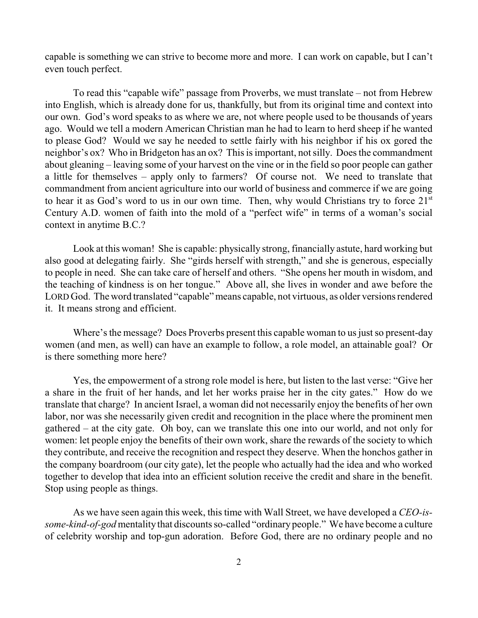capable is something we can strive to become more and more. I can work on capable, but I can't even touch perfect.

To read this "capable wife" passage from Proverbs, we must translate – not from Hebrew into English, which is already done for us, thankfully, but from its original time and context into our own. God's word speaks to as where we are, not where people used to be thousands of years ago. Would we tell a modern American Christian man he had to learn to herd sheep if he wanted to please God? Would we say he needed to settle fairly with his neighbor if his ox gored the neighbor's ox? Who in Bridgeton has an ox? This is important, not silly. Does the commandment about gleaning – leaving some of your harvest on the vine or in the field so poor people can gather a little for themselves – apply only to farmers? Of course not. We need to translate that commandment from ancient agriculture into our world of business and commerce if we are going to hear it as God's word to us in our own time. Then, why would Christians try to force  $21<sup>st</sup>$ Century A.D. women of faith into the mold of a "perfect wife" in terms of a woman's social context in anytime B.C.?

Look at this woman! She is capable: physically strong, financially astute, hard working but also good at delegating fairly. She "girds herself with strength," and she is generous, especially to people in need. She can take care of herself and others. "She opens her mouth in wisdom, and the teaching of kindness is on her tongue." Above all, she lives in wonder and awe before the LORD God. The word translated "capable" means capable, not virtuous, as older versions rendered it. It means strong and efficient.

Where's the message? Does Proverbs present this capable woman to us just so present-day women (and men, as well) can have an example to follow, a role model, an attainable goal? Or is there something more here?

Yes, the empowerment of a strong role model is here, but listen to the last verse: "Give her a share in the fruit of her hands, and let her works praise her in the city gates." How do we translate that charge? In ancient Israel, a woman did not necessarily enjoy the benefits of her own labor, nor was she necessarily given credit and recognition in the place where the prominent men gathered – at the city gate. Oh boy, can we translate this one into our world, and not only for women: let people enjoy the benefits of their own work, share the rewards of the society to which they contribute, and receive the recognition and respect they deserve. When the honchos gather in the company boardroom (our city gate), let the people who actually had the idea and who worked together to develop that idea into an efficient solution receive the credit and share in the benefit. Stop using people as things.

As we have seen again this week, this time with Wall Street, we have developed a *CEO-issome-kind-of-god* mentality that discounts so-called "ordinary people." We have become a culture of celebrity worship and top-gun adoration. Before God, there are no ordinary people and no